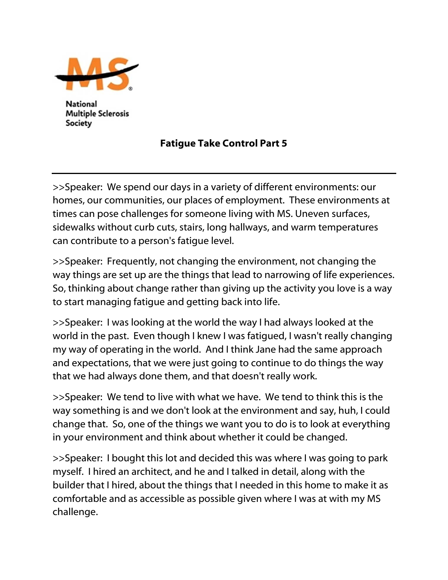

**National Multiple Sclerosis** Society

## Fatigue Take Control Part 5

>>Speaker: We spend our days in a variety of different environments: our homes, our communities, our places of employment. These environments at times can pose challenges for someone living with MS. Uneven surfaces, sidewalks without curb cuts, stairs, long hallways, and warm temperatures can contribute to a person's fatigue level.

>>Speaker: Frequently, not changing the environment, not changing the way things are set up are the things that lead to narrowing of life experiences. So, thinking about change rather than giving up the activity you love is a way to start managing fatigue and getting back into life.

>>Speaker: I was looking at the world the way I had always looked at the world in the past. Even though I knew I was fatigued, I wasn't really changing my way of operating in the world. And I think Jane had the same approach and expectations, that we were just going to continue to do things the way that we had always done them, and that doesn't really work.

>>Speaker: We tend to live with what we have. We tend to think this is the way something is and we don't look at the environment and say, huh, I could change that. So, one of the things we want you to do is to look at everything in your environment and think about whether it could be changed.

>>Speaker: I bought this lot and decided this was where I was going to park myself. I hired an architect, and he and I talked in detail, along with the builder that I hired, about the things that I needed in this home to make it as comfortable and as accessible as possible given where I was at with my MS challenge.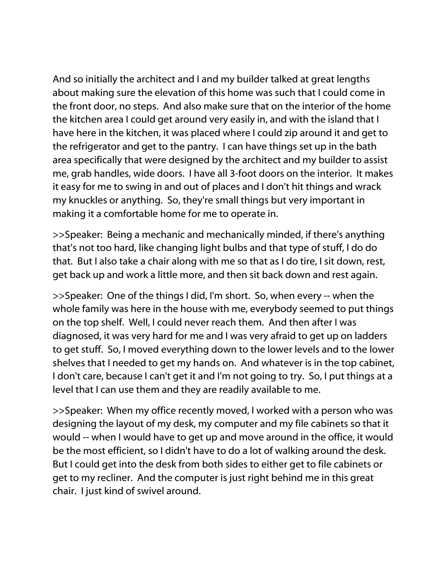And so initially the architect and I and my builder talked at great lengths about making sure the elevation of this home was such that I could come in the front door, no steps. And also make sure that on the interior of the home the kitchen area I could get around very easily in, and with the island that I have here in the kitchen, it was placed where I could zip around it and get to the refrigerator and get to the pantry. I can have things set up in the bath area specifically that were designed by the architect and my builder to assist me, grab handles, wide doors. I have all 3-foot doors on the interior. It makes it easy for me to swing in and out of places and I don't hit things and wrack my knuckles or anything. So, they're small things but very important in making it a comfortable home for me to operate in.

>>Speaker: Being a mechanic and mechanically minded, if there's anything that's not too hard, like changing light bulbs and that type of stuff, I do do that. But I also take a chair along with me so that as I do tire, I sit down, rest, get back up and work a little more, and then sit back down and rest again.

>>Speaker: One of the things I did, I'm short. So, when every -- when the whole family was here in the house with me, everybody seemed to put things on the top shelf. Well, I could never reach them. And then after I was diagnosed, it was very hard for me and I was very afraid to get up on ladders to get stuff. So, I moved everything down to the lower levels and to the lower shelves that I needed to get my hands on. And whatever is in the top cabinet, I don't care, because I can't get it and I'm not going to try. So, I put things at a level that I can use them and they are readily available to me.

>>Speaker: When my office recently moved, I worked with a person who was designing the layout of my desk, my computer and my file cabinets so that it would -- when I would have to get up and move around in the office, it would be the most efficient, so I didn't have to do a lot of walking around the desk. But I could get into the desk from both sides to either get to file cabinets or get to my recliner. And the computer is just right behind me in this great chair. I just kind of swivel around.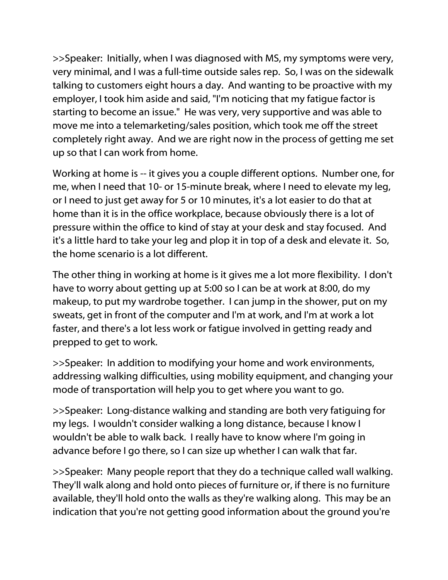>>Speaker: Initially, when I was diagnosed with MS, my symptoms were very, very minimal, and I was a full-time outside sales rep. So, I was on the sidewalk talking to customers eight hours a day. And wanting to be proactive with my employer, I took him aside and said, "I'm noticing that my fatigue factor is starting to become an issue." He was very, very supportive and was able to move me into a telemarketing/sales position, which took me off the street completely right away. And we are right now in the process of getting me set up so that I can work from home.

Working at home is -- it gives you a couple different options. Number one, for me, when I need that 10- or 15-minute break, where I need to elevate my leg, or I need to just get away for 5 or 10 minutes, it's a lot easier to do that at home than it is in the office workplace, because obviously there is a lot of pressure within the office to kind of stay at your desk and stay focused. And it's a little hard to take your leg and plop it in top of a desk and elevate it. So, the home scenario is a lot different.

The other thing in working at home is it gives me a lot more flexibility. I don't have to worry about getting up at 5:00 so I can be at work at 8:00, do my makeup, to put my wardrobe together. I can jump in the shower, put on my sweats, get in front of the computer and I'm at work, and I'm at work a lot faster, and there's a lot less work or fatigue involved in getting ready and prepped to get to work.

>>Speaker: In addition to modifying your home and work environments, addressing walking difficulties, using mobility equipment, and changing your mode of transportation will help you to get where you want to go.

>>Speaker: Long-distance walking and standing are both very fatiguing for my legs. I wouldn't consider walking a long distance, because I know I wouldn't be able to walk back. I really have to know where I'm going in advance before I go there, so I can size up whether I can walk that far.

>>Speaker: Many people report that they do a technique called wall walking. They'll walk along and hold onto pieces of furniture or, if there is no furniture available, they'll hold onto the walls as they're walking along. This may be an indication that you're not getting good information about the ground you're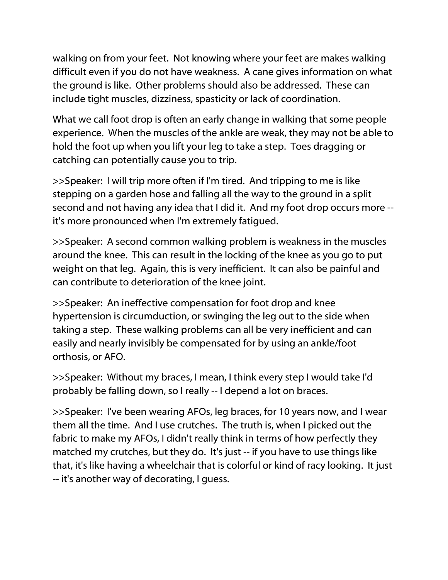walking on from your feet. Not knowing where your feet are makes walking difficult even if you do not have weakness. A cane gives information on what the ground is like. Other problems should also be addressed. These can include tight muscles, dizziness, spasticity or lack of coordination.

What we call foot drop is often an early change in walking that some people experience. When the muscles of the ankle are weak, they may not be able to hold the foot up when you lift your leg to take a step. Toes dragging or catching can potentially cause you to trip.

>>Speaker: I will trip more often if I'm tired. And tripping to me is like stepping on a garden hose and falling all the way to the ground in a split second and not having any idea that I did it. And my foot drop occurs more - it's more pronounced when I'm extremely fatigued.

>>Speaker: A second common walking problem is weakness in the muscles around the knee. This can result in the locking of the knee as you go to put weight on that leg. Again, this is very inefficient. It can also be painful and can contribute to deterioration of the knee joint.

>>Speaker: An ineffective compensation for foot drop and knee hypertension is circumduction, or swinging the leg out to the side when taking a step. These walking problems can all be very inefficient and can easily and nearly invisibly be compensated for by using an ankle/foot orthosis, or AFO.

>>Speaker: Without my braces, I mean, I think every step I would take I'd probably be falling down, so I really -- I depend a lot on braces.

>>Speaker: I've been wearing AFOs, leg braces, for 10 years now, and I wear them all the time. And I use crutches. The truth is, when I picked out the fabric to make my AFOs, I didn't really think in terms of how perfectly they matched my crutches, but they do. It's just -- if you have to use things like that, it's like having a wheelchair that is colorful or kind of racy looking. It just -- it's another way of decorating, I guess.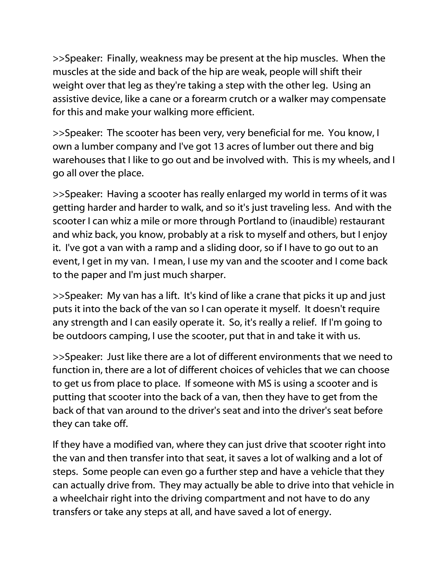>>Speaker: Finally, weakness may be present at the hip muscles. When the muscles at the side and back of the hip are weak, people will shift their weight over that leg as they're taking a step with the other leg. Using an assistive device, like a cane or a forearm crutch or a walker may compensate for this and make your walking more efficient.

>>Speaker: The scooter has been very, very beneficial for me. You know, I own a lumber company and I've got 13 acres of lumber out there and big warehouses that I like to go out and be involved with. This is my wheels, and I go all over the place.

>>Speaker: Having a scooter has really enlarged my world in terms of it was getting harder and harder to walk, and so it's just traveling less. And with the scooter I can whiz a mile or more through Portland to (inaudible) restaurant and whiz back, you know, probably at a risk to myself and others, but I enjoy it. I've got a van with a ramp and a sliding door, so if I have to go out to an event, I get in my van. I mean, I use my van and the scooter and I come back to the paper and I'm just much sharper.

>>Speaker: My van has a lift. It's kind of like a crane that picks it up and just puts it into the back of the van so I can operate it myself. It doesn't require any strength and I can easily operate it. So, it's really a relief. If I'm going to be outdoors camping, I use the scooter, put that in and take it with us.

>>Speaker: Just like there are a lot of different environments that we need to function in, there are a lot of different choices of vehicles that we can choose to get us from place to place. If someone with MS is using a scooter and is putting that scooter into the back of a van, then they have to get from the back of that van around to the driver's seat and into the driver's seat before they can take off.

If they have a modified van, where they can just drive that scooter right into the van and then transfer into that seat, it saves a lot of walking and a lot of steps. Some people can even go a further step and have a vehicle that they can actually drive from. They may actually be able to drive into that vehicle in a wheelchair right into the driving compartment and not have to do any transfers or take any steps at all, and have saved a lot of energy.